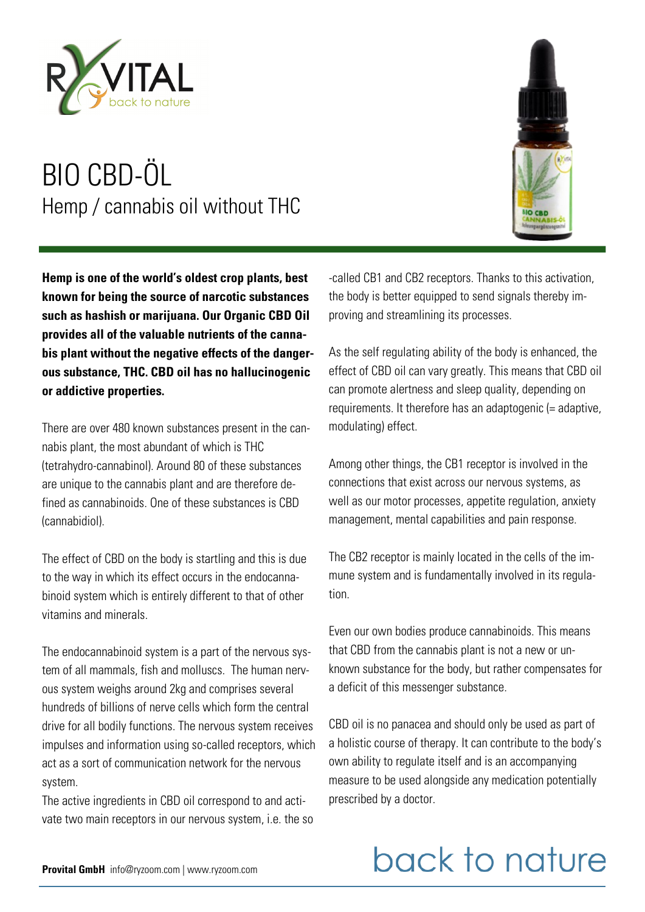

**Hemp is one of the world's oldest crop plants, best known for being the source of narcotic substances such as hashish or marijuana. Our Organic CBD Oil provides all of the valuable nutrients of the cannabis plant without the negative effects of the dangerous substance, THC. CBD oil has no hallucinogenic or addictive properties.** 

There are over 480 known substances present in the cannabis plant, the most abundant of which is THC (tetrahydro-cannabinol). Around 80 of these substances are unique to the cannabis plant and are therefore defined as cannabinoids. One of these substances is CBD (cannabidiol).

The effect of CBD on the body is startling and this is due to the way in which its effect occurs in the endocannabinoid system which is entirely different to that of other vitamins and minerals.

The endocannabinoid system is a part of the nervous system of all mammals, fish and molluscs. The human nervous system weighs around 2kg and comprises several hundreds of billions of nerve cells which form the central drive for all bodily functions. The nervous system receives impulses and information using so-called receptors, which act as a sort of communication network for the nervous system.

The active ingredients in CBD oil correspond to and activate two main receptors in our nervous system, i.e. the so



As the self regulating ability of the body is enhanced, the effect of CBD oil can vary greatly. This means that CBD oil can promote alertness and sleep quality, depending on requirements. It therefore has an adaptogenic (= adaptive, modulating) effect.

Among other things, the CB1 receptor is involved in the connections that exist across our nervous systems, as well as our motor processes, appetite regulation, anxiety management, mental capabilities and pain response.

The CB2 receptor is mainly located in the cells of the immune system and is fundamentally involved in its regulation.

Even our own bodies produce cannabinoids. This means that CBD from the cannabis plant is not a new or unknown substance for the body, but rather compensates for a deficit of this messenger substance.

CBD oil is no panacea and should only be used as part of a holistic course of therapy. It can contribute to the body's own ability to regulate itself and is an accompanying measure to be used alongside any medication potentially prescribed by a doctor.

## back to nature

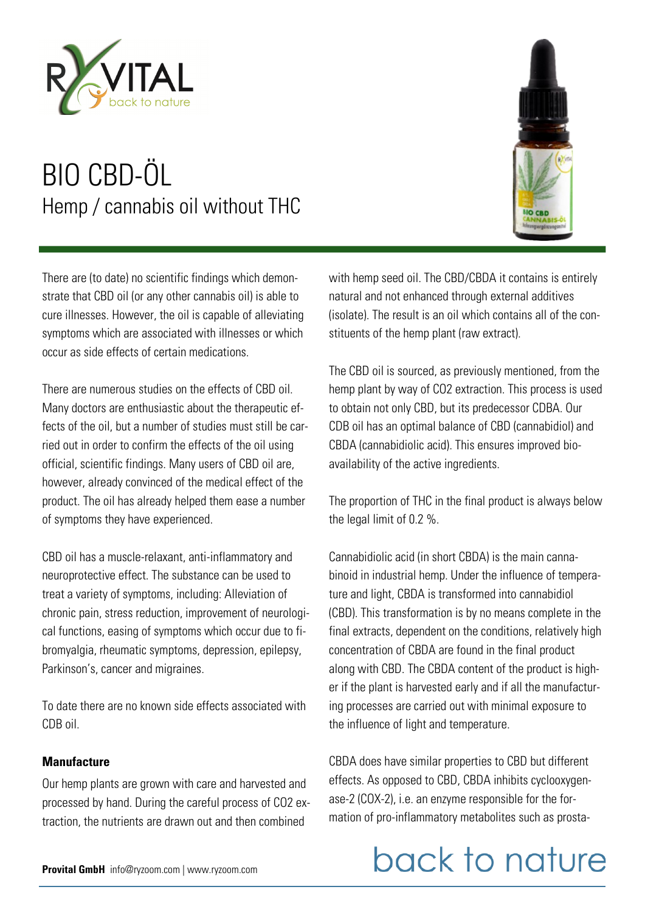

There are (to date) no scientific findings which demonstrate that CBD oil (or any other cannabis oil) is able to cure illnesses. However, the oil is capable of alleviating symptoms which are associated with illnesses or which occur as side effects of certain medications.

There are numerous studies on the effects of CBD oil. Many doctors are enthusiastic about the therapeutic effects of the oil, but a number of studies must still be carried out in order to confirm the effects of the oil using official, scientific findings. Many users of CBD oil are, however, already convinced of the medical effect of the product. The oil has already helped them ease a number of symptoms they have experienced.

CBD oil has a muscle-relaxant, anti-inflammatory and neuroprotective effect. The substance can be used to treat a variety of symptoms, including: Alleviation of chronic pain, stress reduction, improvement of neurological functions, easing of symptoms which occur due to fibromyalgia, rheumatic symptoms, depression, epilepsy, Parkinson's, cancer and migraines.

To date there are no known side effects associated with CDB oil.

#### **Manufacture**

Our hemp plants are grown with care and harvested and processed by hand. During the careful process of CO2 extraction, the nutrients are drawn out and then combined



with hemp seed oil. The CBD/CBDA it contains is entirely natural and not enhanced through external additives (isolate). The result is an oil which contains all of the constituents of the hemp plant (raw extract).

The CBD oil is sourced, as previously mentioned, from the hemp plant by way of CO2 extraction. This process is used to obtain not only CBD, but its predecessor CDBA. Our CDB oil has an optimal balance of CBD (cannabidiol) and CBDA (cannabidiolic acid). This ensures improved bioavailability of the active ingredients.

The proportion of THC in the final product is always below the legal limit of 0.2 %.

Cannabidiolic acid (in short CBDA) is the main cannabinoid in industrial hemp. Under the influence of temperature and light, CBDA is transformed into cannabidiol (CBD). This transformation is by no means complete in the final extracts, dependent on the conditions, relatively high concentration of CBDA are found in the final product along with CBD. The CBDA content of the product is higher if the plant is harvested early and if all the manufacturing processes are carried out with minimal exposure to the influence of light and temperature.

CBDA does have similar properties to CBD but different effects. As opposed to CBD, CBDA inhibits cyclooxygenase-2 (COX-2), i.e. an enzyme responsible for the formation of pro-inflammatory metabolites such as prosta-

## back to nature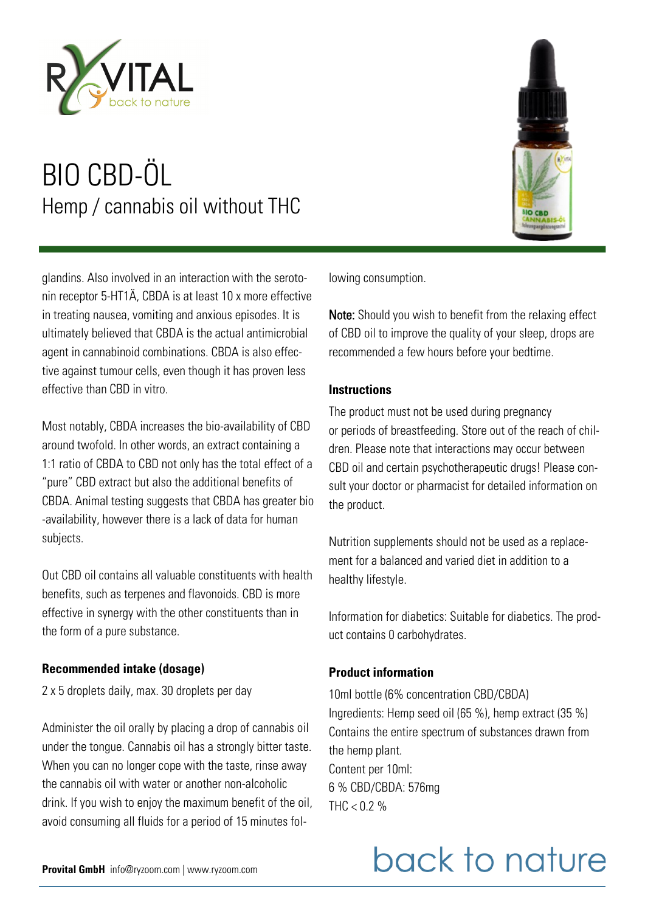

glandins. Also involved in an interaction with the serotonin receptor 5-HT1Ä, CBDA is at least 10 x more effective in treating nausea, vomiting and anxious episodes. It is ultimately believed that CBDA is the actual antimicrobial agent in cannabinoid combinations. CBDA is also effective against tumour cells, even though it has proven less effective than CBD in vitro.

Most notably, CBDA increases the bio-availability of CBD around twofold. In other words, an extract containing a 1:1 ratio of CBDA to CBD not only has the total effect of a "pure" CBD extract but also the additional benefits of CBDA. Animal testing suggests that CBDA has greater bio -availability, however there is a lack of data for human subjects.

Out CBD oil contains all valuable constituents with health benefits, such as terpenes and flavonoids. CBD is more effective in synergy with the other constituents than in the form of a pure substance.

#### **Recommended intake (dosage)**

2 x 5 droplets daily, max. 30 droplets per day

Administer the oil orally by placing a drop of cannabis oil under the tongue. Cannabis oil has a strongly bitter taste. When you can no longer cope with the taste, rinse away the cannabis oil with water or another non-alcoholic drink. If you wish to enjoy the maximum benefit of the oil, avoid consuming all fluids for a period of 15 minutes fol-



lowing consumption.

Note: Should you wish to benefit from the relaxing effect of CBD oil to improve the quality of your sleep, drops are recommended a few hours before your bedtime.

#### **Instructions**

The product must not be used during pregnancy or periods of breastfeeding. Store out of the reach of children. Please note that interactions may occur between CBD oil and certain psychotherapeutic drugs! Please consult your doctor or pharmacist for detailed information on the product.

Nutrition supplements should not be used as a replacement for a balanced and varied diet in addition to a healthy lifestyle.

Information for diabetics: Suitable for diabetics. The product contains 0 carbohydrates.

#### **Product information**

10ml bottle (6% concentration CBD/CBDA) Ingredients: Hemp seed oil (65 %), hemp extract (35 %) Contains the entire spectrum of substances drawn from the hemp plant. Content per 10ml: 6 % CBD/CBDA: 576mg THC  $< 0.2$  %

# back to nature

**Provital GmbH** info@ryzoom.com | www.ryzoom.com